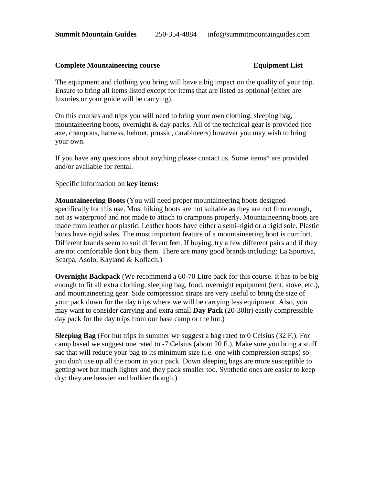### **Complete Mountaineering course Equipment List**

The equipment and clothing you bring will have a big impact on the quality of your trip. Ensure to bring all items listed except for items that are listed as optional (either are luxuries or your guide will be carrying).

On this courses and trips you will need to bring your own clothing, sleeping bag, mountaineering boots, overnight  $\&$  day packs. All of the technical gear is provided (ice axe, crampons, harness, helmet, prussic, carabineers) however you may wish to bring your own.

If you have any questions about anything please contact us. Some items\* are provided and/or available for rental.

Specific information on **key items:**

**Mountaineering Boots** (You will need proper mountaineering boots designed specifically for this use. Most hiking boots are not suitable as they are not firm enough, not as waterproof and not made to attach to crampons properly. Mountaineering boots are made from leather or plastic. Leather boots have either a semi-rigid or a rigid sole. Plastic boots have rigid soles. The most important feature of a mountaineering boot is comfort. Different brands seem to suit different feet. If buying, try a few different pairs and if they are not comfortable don't buy them. There are many good brands including: La Sportiva, Scarpa, Asolo, Kayland & Koflach.)

**Overnight Backpack** (We recommend a 60-70 Litre pack for this course. It has to be big enough to fit all extra clothing, sleeping bag, food, overnight equipment (tent, stove, etc.), and mountaineering gear. Side compression straps are very useful to bring the size of your pack down for the day trips where we will be carrying less equipment. Also, you may want to consider carrying and extra small **Day Pack** (20-30ltr) easily compressible day pack for the day trips from our base camp or the hut.)

**Sleeping Bag** (For hut trips in summer we suggest a bag rated to 0 Celsius (32 F.). For camp based we suggest one rated to -7 Celsius (about 20 F.). Make sure you bring a stuff sac that will reduce your bag to its minimum size (i.e. one with compression straps) so you don't use up all the room in your pack. Down sleeping bags are more susceptible to getting wet but much lighter and they pack smaller too. Synthetic ones are easier to keep dry; they are heavier and bulkier though.)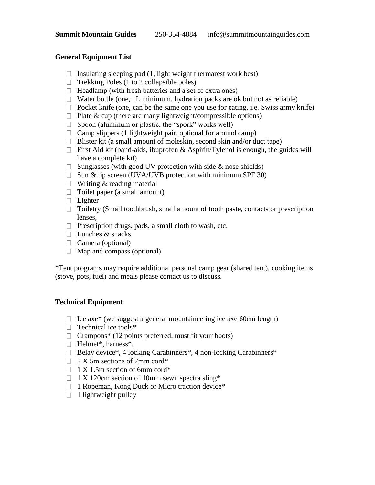## **General Equipment List**

- $\Box$  Insulating sleeping pad (1, light weight thermarest work best)
- $\Box$  Trekking Poles (1 to 2 collapsible poles)
- $\Box$  Headlamp (with fresh batteries and a set of extra ones)
- $\Box$  Water bottle (one, 1L minimum, hydration packs are ok but not as reliable)
- $\Box$  Pocket knife (one, can be the same one you use for eating, i.e. Swiss army knife)
- $\Box$  Plate & cup (there are many lightweight/compressible options)
- $\Box$  Spoon (aluminum or plastic, the "spork" works well)
- $\Box$  Camp slippers (1 lightweight pair, optional for around camp)
- $\Box$  Blister kit (a small amount of moleskin, second skin and/or duct tape)
- First Aid kit (band-aids, ibuprofen & Aspirin/Tylenol is enough, the guides will have a complete kit)
- $\Box$  Sunglasses (with good UV protection with side & nose shields)
- $\Box$  Sun & lip screen (UVA/UVB protection with minimum SPF 30)
- $\Box$  Writing & reading material
- $\Box$  Toilet paper (a small amount)
- $\Box$  Lighter
- $\Box$  Toiletry (Small toothbrush, small amount of tooth paste, contacts or prescription lenses,
- $\Box$  Prescription drugs, pads, a small cloth to wash, etc.
- $\Box$  Lunches & snacks
- $\Box$  Camera (optional)
- $\Box$  Map and compass (optional)

\*Tent programs may require additional personal camp gear (shared tent), cooking items (stove, pots, fuel) and meals please contact us to discuss.

# **Technical Equipment**

- $\Box$  Ice axe\* (we suggest a general mountaineering ice axe 60cm length)
- $\Box$  Technical ice tools\*
- $\Box$  Crampons<sup>\*</sup> (12 points preferred, must fit your boots)
- $\Box$  Helmet\*, harness\*,
- $\Box$  Belay device\*, 4 locking Carabinners\*, 4 non-locking Carabinners\*
- $\Box$  2 X 5m sections of 7mm cord\*
- $\Box$  1 X 1.5m section of 6mm cord\*
- $\Box$  1 X 120cm section of 10mm sewn spectra sling\*
- $\Box$  1 Ropeman, Kong Duck or Micro traction device\*
- $\Box$  1 lightweight pulley